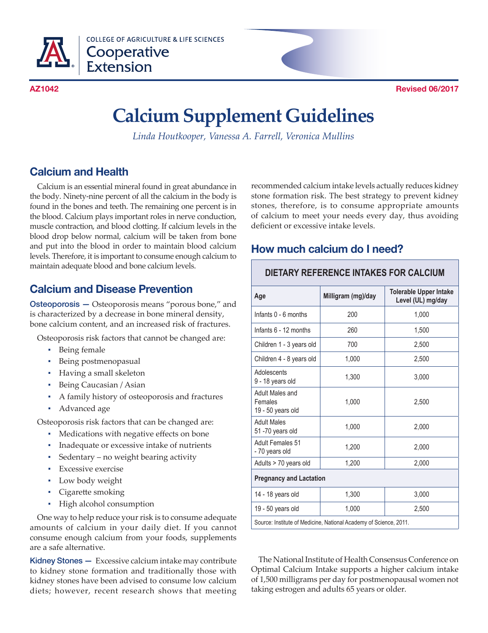

**COLLEGE OF AGRICULTURE & LIFE SCIENCES** Cooperative **Extension** 



# **Calcium Supplement Guidelines**

*Linda Houtkooper, Vanessa A. Farrell, Veronica Mullins*

# **Calcium and Health**

Calcium is an essential mineral found in great abundance in the body. Ninety-nine percent of all the calcium in the body is found in the bones and teeth. The remaining one percent is in the blood. Calcium plays important roles in nerve conduction, muscle contraction, and blood clotting. If calcium levels in the blood drop below normal, calcium will be taken from bone and put into the blood in order to maintain blood calcium levels. Therefore, it is important to consume enough calcium to maintain adequate blood and bone calcium levels.

# **Calcium and Disease Prevention**

Osteoporosis — Osteoporosis means "porous bone," and is characterized by a decrease in bone mineral density, bone calcium content, and an increased risk of fractures.

Osteoporosis risk factors that cannot be changed are:

- Being female
- Being postmenopasual
- Having a small skeleton
- Being Caucasian / Asian
- A family history of osteoporosis and fractures
- Advanced age

Osteoporosis risk factors that can be changed are:

- Medications with negative effects on bone
- Inadequate or excessive intake of nutrients
- Sedentary no weight bearing activity
- **•** Excessive exercise
- Low body weight
- Cigarette smoking
- High alcohol consumption

One way to help reduce your risk is to consume adequate amounts of calcium in your daily diet. If you cannot consume enough calcium from your foods, supplements are a safe alternative.

Kidney Stones - Excessive calcium intake may contribute to kidney stone formation and traditionally those with kidney stones have been advised to consume low calcium diets; however, recent research shows that meeting

recommended calcium intake levels actually reduces kidney stone formation risk. The best strategy to prevent kidney stones, therefore, is to consume appropriate amounts of calcium to meet your needs every day, thus avoiding deficient or excessive intake levels.

#### **How much calcium do I need?**

#### **DIETARY REFERENCE INTAKES FOR CALCIUM**

| Age                                                            | Milligram (mg)/day | <b>Tolerable Upper Intake</b><br>Level (UL) mg/day |  |  |  |
|----------------------------------------------------------------|--------------------|----------------------------------------------------|--|--|--|
| Infants 0 - 6 months                                           | 200                | 1,000                                              |  |  |  |
| Infants 6 - 12 months                                          | 260                | 1,500                                              |  |  |  |
| Children 1 - 3 years old                                       | 700                | 2,500                                              |  |  |  |
| Children 4 - 8 years old                                       | 1,000              | 2,500                                              |  |  |  |
| Adolescents<br>9 - 18 years old                                | 1,300              | 3,000                                              |  |  |  |
| Adult Males and<br>Females<br>19 - 50 years old                | 1,000              | 2,500                                              |  |  |  |
| <b>Adult Males</b><br>51-70 years old                          | 1,000              | 2,000                                              |  |  |  |
| Adult Females 51<br>- 70 years old                             | 1,200              | 2,000                                              |  |  |  |
| Adults > 70 years old                                          | 1,200              | 2,000                                              |  |  |  |
| <b>Pregnancy and Lactation</b>                                 |                    |                                                    |  |  |  |
| 14 - 18 years old                                              | 1,300              | 3,000                                              |  |  |  |
| 19 - 50 years old                                              | 1,000              | 2,500                                              |  |  |  |
| Source: Institute of Medicine National Academy of Science 2011 |                    |                                                    |  |  |  |

Source: Institute of Medicine, National Academy of Science, 2011.

The National Institute of Health Consensus Conference on Optimal Calcium Intake supports a higher calcium intake of 1,500 milligrams per day for postmenopausal women not taking estrogen and adults 65 years or older.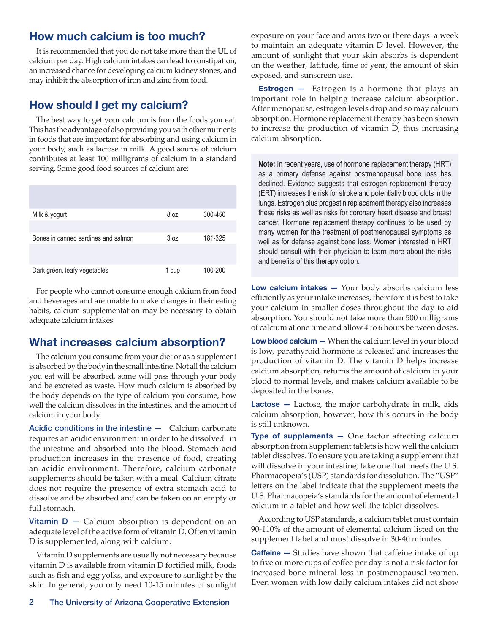#### **How much calcium is too much?**

It is recommended that you do not take more than the UL of calcium per day. High calcium intakes can lead to constipation, an increased chance for developing calcium kidney stones, and may inhibit the absorption of iron and zinc from food.

#### **How should I get my calcium?**

The best way to get your calcium is from the foods you eat. This has the advantage of also providing you with other nutrients in foods that are important for absorbing and using calcium in your body, such as lactose in milk. A good source of calcium contributes at least 100 milligrams of calcium in a standard serving. Some good food sources of calcium are:

| Milk & yogurt                       | 8 oz  | 300-450 |
|-------------------------------------|-------|---------|
| Bones in canned sardines and salmon | 3 oz  | 181-325 |
| Dark green, leafy vegetables        | 1 cup | 100-200 |

For people who cannot consume enough calcium from food and beverages and are unable to make changes in their eating habits, calcium supplementation may be necessary to obtain adequate calcium intakes.

#### **What increases calcium absorption?**

The calcium you consume from your diet or as a supplement is absorbed by the body in the small intestine. Not all the calcium you eat will be absorbed, some will pass through your body and be excreted as waste. How much calcium is absorbed by the body depends on the type of calcium you consume, how well the calcium dissolves in the intestines, and the amount of calcium in your body.

Acidic conditions in the intestine - Calcium carbonate requires an acidic environment in order to be dissolved in the intestine and absorbed into the blood. Stomach acid production increases in the presence of food, creating an acidic environment. Therefore, calcium carbonate supplements should be taken with a meal. Calcium citrate does not require the presence of extra stomach acid to dissolve and be absorbed and can be taken on an empty or full stomach.

**Vitamin D**  $-$  Calcium absorption is dependent on an adequate level of the active form of vitamin D. Often vitamin D is supplemented, along with calcium.

Vitamin D supplements are usually not necessary because vitamin D is available from vitamin D fortified milk, foods such as fish and egg yolks, and exposure to sunlight by the skin. In general, you only need 10-15 minutes of sunlight exposure on your face and arms two or there days a week to maintain an adequate vitamin D level. However, the amount of sunlight that your skin absorbs is dependent on the weather, latitude, time of year, the amount of skin exposed, and sunscreen use.

**Estrogen —** Estrogen is a hormone that plays an important role in helping increase calcium absorption. After menopause, estrogen levels drop and so may calcium absorption. Hormone replacement therapy has been shown to increase the production of vitamin D, thus increasing calcium absorption.

**Note:** In recent years, use of hormone replacement therapy (HRT) as a primary defense against postmenopausal bone loss has declined. Evidence suggests that estrogen replacement therapy (ERT) increases the risk for stroke and potentially blood clots in the lungs. Estrogen plus progestin replacement therapy also increases these risks as well as risks for coronary heart disease and breast cancer. Hormone replacement therapy continues to be used by many women for the treatment of postmenopausal symptoms as well as for defense against bone loss. Women interested in HRT should consult with their physician to learn more about the risks and benefits of this therapy option.

**Low calcium intakes —** Your body absorbs calcium less efficiently as your intake increases, therefore it is best to take your calcium in smaller doses throughout the day to aid absorption. You should not take more than 500 milligrams of calcium at one time and allow 4 to 6 hours between doses.

**Low blood calcium —** When the calcium level in your blood is low, parathyroid hormone is released and increases the production of vitamin D. The vitamin D helps increase calcium absorption, returns the amount of calcium in your blood to normal levels, and makes calcium available to be deposited in the bones.

**Lactose —** Lactose, the major carbohydrate in milk, aids calcium absorption, however, how this occurs in the body is still unknown.

**Type of supplements —** One factor affecting calcium absorption from supplement tablets is how well the calcium tablet dissolves. To ensure you are taking a supplement that will dissolve in your intestine, take one that meets the U.S. Pharmacopeia's (USP) standards for dissolution. The "USP" letters on the label indicate that the supplement meets the U.S. Pharmacopeia's standards for the amount of elemental calcium in a tablet and how well the tablet dissolves.

According to USP standards, a calcium tablet must contain 90-110% of the amount of elemental calcium listed on the supplement label and must dissolve in 30-40 minutes.

**Caffeine –** Studies have shown that caffeine intake of up to five or more cups of coffee per day is not a risk factor for increased bone mineral loss in postmenopausal women. Even women with low daily calcium intakes did not show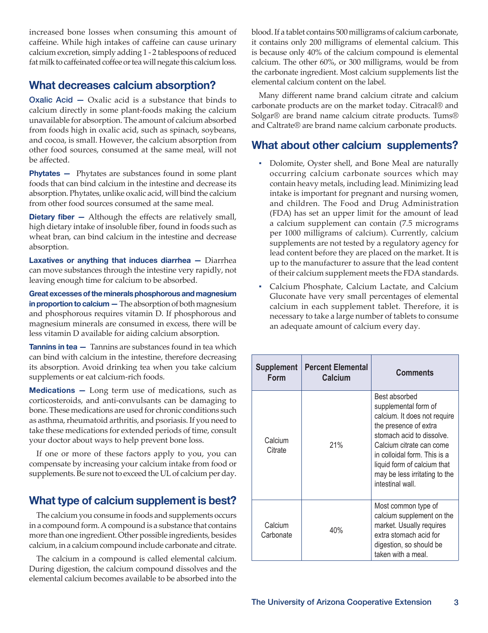increased bone losses when consuming this amount of caffeine. While high intakes of caffeine can cause urinary calcium excretion, simply adding 1 - 2 tablespoons of reduced fat milk to caffeinated coffee or tea will negate this calcium loss.

#### **What decreases calcium absorption?**

Oxalic Acid — Oxalic acid is a substance that binds to calcium directly in some plant-foods making the calcium unavailable for absorption. The amount of calcium absorbed from foods high in oxalic acid, such as spinach, soybeans, and cocoa, is small. However, the calcium absorption from other food sources, consumed at the same meal, will not be affected.

**Phytates –** Phytates are substances found in some plant foods that can bind calcium in the intestine and decrease its absorption. Phytates, unlike oxalic acid, will bind the calcium from other food sources consumed at the same meal.

**Dietary fiber –** Although the effects are relatively small, high dietary intake of insoluble fiber, found in foods such as wheat bran, can bind calcium in the intestine and decrease absorption.

**Laxatives or anything that induces diarrhea —** Diarrhea can move substances through the intestine very rapidly, not leaving enough time for calcium to be absorbed.

**Great excesses of the minerals phosphorous and magnesium in proportion to calcium —** The absorption of both magnesium and phosphorous requires vitamin D. If phosphorous and magnesium minerals are consumed in excess, there will be less vitamin D available for aiding calcium absorption.

**Tannins in tea —** Tannins are substances found in tea which can bind with calcium in the intestine, therefore decreasing its absorption. Avoid drinking tea when you take calcium supplements or eat calcium-rich foods.

**Medications —** Long term use of medications, such as corticosteroids, and anti-convulsants can be damaging to bone. These medications are used for chronic conditions such as asthma, rheumatoid arthritis, and psoriasis. If you need to take these medications for extended periods of time, consult your doctor about ways to help prevent bone loss.

If one or more of these factors apply to you, you can compensate by increasing your calcium intake from food or supplements. Be sure not to exceed the UL of calcium per day.

# **What type of calcium supplement is best?**

The calcium you consume in foods and supplements occurs in a compound form. A compound is a substance that contains more than one ingredient. Other possible ingredients, besides calcium, in a calcium compound include carbonate and citrate.

The calcium in a compound is called elemental calcium. During digestion, the calcium compound dissolves and the elemental calcium becomes available to be absorbed into the blood. If a tablet contains 500 milligrams of calcium carbonate, it contains only 200 milligrams of elemental calcium. This is because only 40% of the calcium compound is elemental calcium. The other 60%, or 300 milligrams, would be from the carbonate ingredient. Most calcium supplements list the elemental calcium content on the label.

Many different name brand calcium citrate and calcium carbonate products are on the market today. Citracal® and Solgar® are brand name calcium citrate products. Tums® and Caltrate® are brand name calcium carbonate products.

### **What about other calcium supplements?**

- Dolomite, Oyster shell, and Bone Meal are naturally occurring calcium carbonate sources which may contain heavy metals, including lead. Minimizing lead intake is important for pregnant and nursing women, and children. The Food and Drug Administration (FDA) has set an upper limit for the amount of lead a calcium supplement can contain (7.5 micrograms per 1000 milligrams of calcium). Currently, calcium supplements are not tested by a regulatory agency for lead content before they are placed on the market. It is up to the manufacturer to assure that the lead content of their calcium supplement meets the FDA standards.
- ▪ Calcium Phosphate, Calcium Lactate, and Calcium Gluconate have very small percentages of elemental calcium in each supplement tablet. Therefore, it is necessary to take a large number of tablets to consume an adequate amount of calcium every day.

| Supplement<br>Form   | <b>Percent Elemental</b><br>Calcium | Comments                                                                                                                                                                                                                                                                    |
|----------------------|-------------------------------------|-----------------------------------------------------------------------------------------------------------------------------------------------------------------------------------------------------------------------------------------------------------------------------|
| Calcium<br>Citrate   | 21%                                 | Best absorbed<br>supplemental form of<br>calcium. It does not require<br>the presence of extra<br>stomach acid to dissolve.<br>Calcium citrate can come<br>in colloidal form. This is a<br>liquid form of calcium that<br>may be less irritating to the<br>intestinal wall. |
| Calcium<br>Carbonate | 40%                                 | Most common type of<br>calcium supplement on the<br>market. Usually requires<br>extra stomach acid for<br>digestion, so should be<br>taken with a meal.                                                                                                                     |